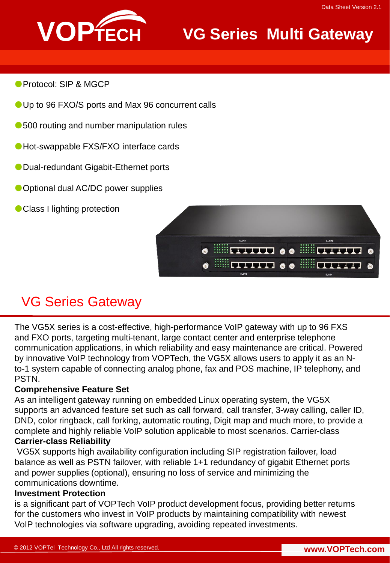

## **VG Series Multi Gateway**

- Protocol: SIP & MGCP
- Up to 96 FXO/S ports and Max 96 concurrent calls
- 500 routing and number manipulation rules
- ●Hot-swappable FXS/FXO interface cards
- Dual-redundant Gigabit-Ethernet ports
- Optional dual AC/DC power supplies
- Class I lighting protection



## VG Series Gateway

The VG5X series is a cost-effective, high-performance VoIP gateway with up to 96 FXS and FXO ports, targeting multi-tenant, large contact center and enterprise telephone communication applications, in which reliability and easy maintenance are critical. Powered by innovative VoIP technology from VOPTech, the VG5X allows users to apply it as an Nto-1 system capable of connecting analog phone, fax and POS machine, IP telephony, and PSTN.

### **Comprehensive Feature Set**

As an intelligent gateway running on embedded Linux operating system, the VG5X supports an advanced feature set such as call forward, call transfer, 3-way calling, caller ID, DND, color ringback, call forking, automatic routing, Digit map and much more, to provide a complete and highly reliable VoIP solution applicable to most scenarios. Carrier-class **Carrier-class Reliability**

VG5X supports high availability configuration including SIP registration failover, load balance as well as PSTN failover, with reliable 1+1 redundancy of gigabit Ethernet ports and power supplies (optional), ensuring no loss of service and minimizing the communications downtime.

### **Investment Protection**

is a significant part of VOPTech VoIP product development focus, providing better returns for the customers who invest in VoIP products by maintaining compatibility with newest VoIP technologies via software upgrading, avoiding repeated investments.